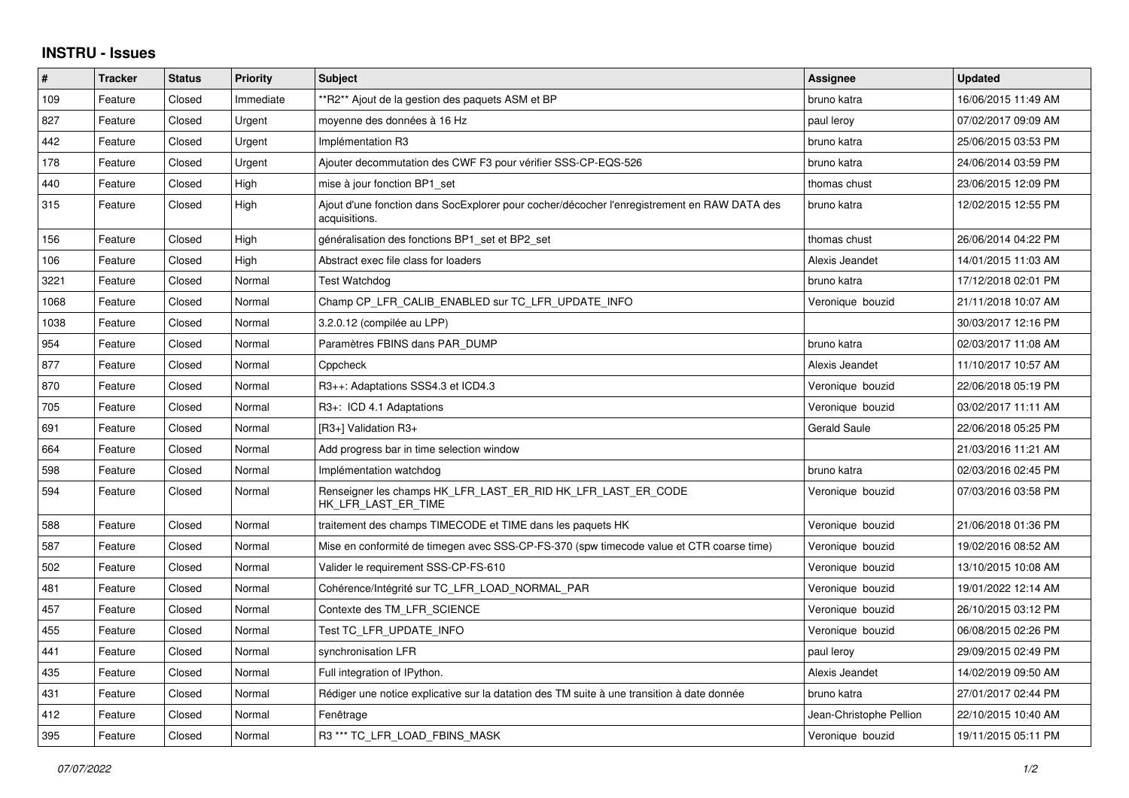## **INSTRU - Issues**

| #    | <b>Tracker</b> | <b>Status</b> | <b>Priority</b> | <b>Subject</b>                                                                                               | Assignee                | <b>Updated</b>      |
|------|----------------|---------------|-----------------|--------------------------------------------------------------------------------------------------------------|-------------------------|---------------------|
| 109  | Feature        | Closed        | Immediate       | **R2** Ajout de la gestion des paquets ASM et BP                                                             | bruno katra             | 16/06/2015 11:49 AM |
| 827  | Feature        | Closed        | Urgent          | moyenne des données à 16 Hz                                                                                  | paul leroy              | 07/02/2017 09:09 AM |
| 442  | Feature        | Closed        | Urgent          | Implémentation R3                                                                                            | bruno katra             | 25/06/2015 03:53 PM |
| 178  | Feature        | Closed        | Urgent          | Ajouter decommutation des CWF F3 pour vérifier SSS-CP-EQS-526                                                | bruno katra             | 24/06/2014 03:59 PM |
| 440  | Feature        | Closed        | High            | mise à jour fonction BP1 set                                                                                 | thomas chust            | 23/06/2015 12:09 PM |
| 315  | Feature        | Closed        | High            | Ajout d'une fonction dans SocExplorer pour cocher/décocher l'enregistrement en RAW DATA des<br>acquisitions. | bruno katra             | 12/02/2015 12:55 PM |
| 156  | Feature        | Closed        | High            | généralisation des fonctions BP1_set et BP2_set                                                              | thomas chust            | 26/06/2014 04:22 PM |
| 106  | Feature        | Closed        | High            | Abstract exec file class for loaders                                                                         | Alexis Jeandet          | 14/01/2015 11:03 AM |
| 3221 | Feature        | Closed        | Normal          | <b>Test Watchdog</b>                                                                                         | bruno katra             | 17/12/2018 02:01 PM |
| 1068 | Feature        | Closed        | Normal          | Champ CP LFR CALIB ENABLED sur TC LFR UPDATE INFO                                                            | Veronique bouzid        | 21/11/2018 10:07 AM |
| 1038 | Feature        | Closed        | Normal          | 3.2.0.12 (compilée au LPP)                                                                                   |                         | 30/03/2017 12:16 PM |
| 954  | Feature        | Closed        | Normal          | Paramètres FBINS dans PAR DUMP                                                                               | bruno katra             | 02/03/2017 11:08 AM |
| 877  | Feature        | Closed        | Normal          | Cppcheck                                                                                                     | Alexis Jeandet          | 11/10/2017 10:57 AM |
| 870  | Feature        | Closed        | Normal          | R3++: Adaptations SSS4.3 et ICD4.3                                                                           | Veronique bouzid        | 22/06/2018 05:19 PM |
| 705  | Feature        | Closed        | Normal          | R3+: ICD 4.1 Adaptations                                                                                     | Veronique bouzid        | 03/02/2017 11:11 AM |
| 691  | Feature        | Closed        | Normal          | [R3+] Validation R3+                                                                                         | Gerald Saule            | 22/06/2018 05:25 PM |
| 664  | Feature        | Closed        | Normal          | Add progress bar in time selection window                                                                    |                         | 21/03/2016 11:21 AM |
| 598  | Feature        | Closed        | Normal          | Implémentation watchdog                                                                                      | bruno katra             | 02/03/2016 02:45 PM |
| 594  | Feature        | Closed        | Normal          | Renseigner les champs HK LFR LAST ER RID HK LFR LAST ER CODE<br>HK_LFR_LAST_ER_TIME                          | Veronique bouzid        | 07/03/2016 03:58 PM |
| 588  | Feature        | Closed        | Normal          | traitement des champs TIMECODE et TIME dans les paquets HK                                                   | Veronique bouzid        | 21/06/2018 01:36 PM |
| 587  | Feature        | Closed        | Normal          | Mise en conformité de timegen avec SSS-CP-FS-370 (spw timecode value et CTR coarse time)                     | Veronique bouzid        | 19/02/2016 08:52 AM |
| 502  | Feature        | Closed        | Normal          | Valider le requirement SSS-CP-FS-610                                                                         | Veronique bouzid        | 13/10/2015 10:08 AM |
| 481  | Feature        | Closed        | Normal          | Cohérence/Intégrité sur TC_LFR_LOAD_NORMAL_PAR                                                               | Veronique bouzid        | 19/01/2022 12:14 AM |
| 457  | Feature        | Closed        | Normal          | Contexte des TM LFR SCIENCE                                                                                  | Veronique bouzid        | 26/10/2015 03:12 PM |
| 455  | Feature        | Closed        | Normal          | Test TC LFR UPDATE INFO                                                                                      | Veronique bouzid        | 06/08/2015 02:26 PM |
| 441  | Feature        | Closed        | Normal          | synchronisation LFR                                                                                          | paul leroy              | 29/09/2015 02:49 PM |
| 435  | Feature        | Closed        | Normal          | Full integration of IPython.                                                                                 | Alexis Jeandet          | 14/02/2019 09:50 AM |
| 431  | Feature        | Closed        | Normal          | Rédiger une notice explicative sur la datation des TM suite à une transition à date donnée                   | bruno katra             | 27/01/2017 02:44 PM |
| 412  | Feature        | Closed        | Normal          | Fenêtrage                                                                                                    | Jean-Christophe Pellion | 22/10/2015 10:40 AM |
| 395  | Feature        | Closed        | Normal          | R3 *** TC LFR LOAD FBINS MASK                                                                                | Veronique bouzid        | 19/11/2015 05:11 PM |